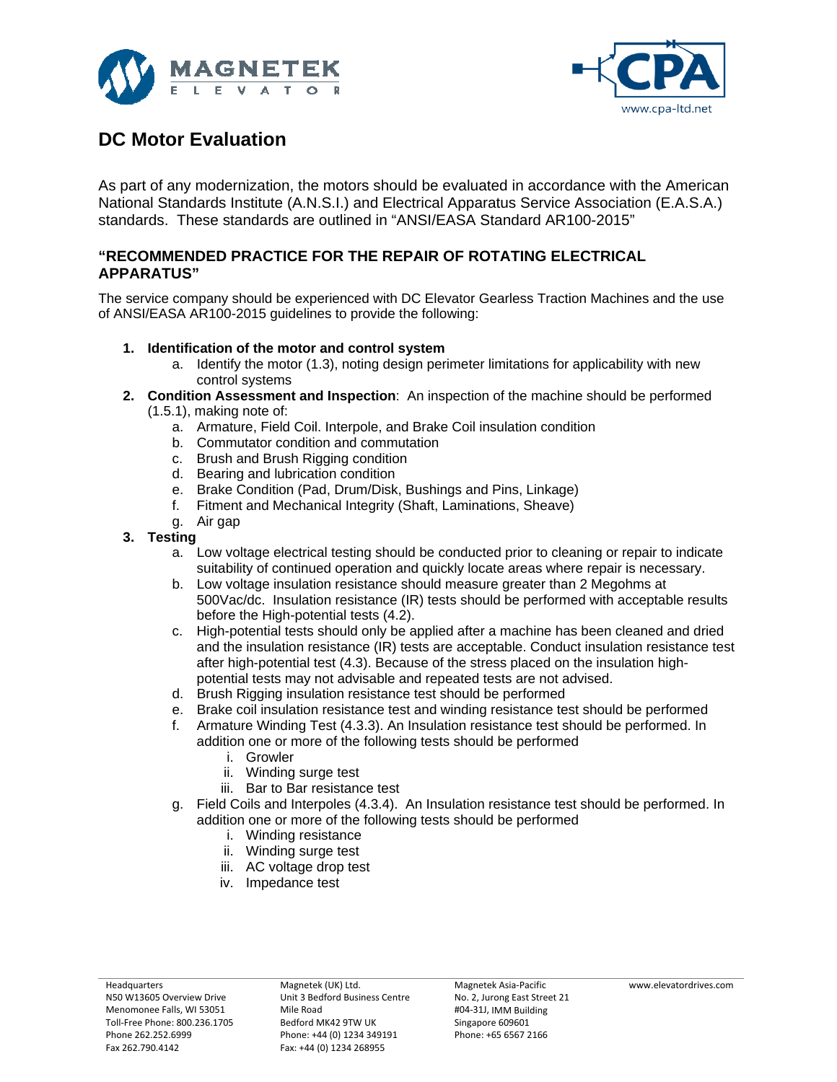



## **DC Motor Evaluation**

As part of any modernization, the motors should be evaluated in accordance with the American National Standards Institute (A.N.S.I.) and Electrical Apparatus Service Association (E.A.S.A.) standards. These standards are outlined in "ANSI/EASA Standard AR100-2015"

## **"RECOMMENDED PRACTICE FOR THE REPAIR OF ROTATING ELECTRICAL APPARATUS"**

The service company should be experienced with DC Elevator Gearless Traction Machines and the use of ANSI/EASA AR100-2015 guidelines to provide the following:

## **1. Identification of the motor and control system**

- a. Identify the motor (1.3), noting design perimeter limitations for applicability with new control systems
- **2. Condition Assessment and Inspection**: An inspection of the machine should be performed (1.5.1), making note of:
	- a. Armature, Field Coil. Interpole, and Brake Coil insulation condition
	- b. Commutator condition and commutation
	- c. Brush and Brush Rigging condition
	- d. Bearing and lubrication condition
	- e. Brake Condition (Pad, Drum/Disk, Bushings and Pins, Linkage)
	- f. Fitment and Mechanical Integrity (Shaft, Laminations, Sheave)
	- g. Air gap
- **3. Testing**
	- a. Low voltage electrical testing should be conducted prior to cleaning or repair to indicate suitability of continued operation and quickly locate areas where repair is necessary.
	- b. Low voltage insulation resistance should measure greater than 2 Megohms at 500Vac/dc. Insulation resistance (IR) tests should be performed with acceptable results before the High-potential tests (4.2).
	- c. High-potential tests should only be applied after a machine has been cleaned and dried and the insulation resistance (IR) tests are acceptable. Conduct insulation resistance test after high-potential test (4.3). Because of the stress placed on the insulation highpotential tests may not advisable and repeated tests are not advised.
	- d. Brush Rigging insulation resistance test should be performed
	- e. Brake coil insulation resistance test and winding resistance test should be performed
	- f. Armature Winding Test (4.3.3). An Insulation resistance test should be performed. In addition one or more of the following tests should be performed
		- i. Growler
		- ii. Winding surge test
		- iii. Bar to Bar resistance test
	- g. Field Coils and Interpoles (4.3.4). An Insulation resistance test should be performed. In addition one or more of the following tests should be performed
		- i. Winding resistance
		- ii. Winding surge test
		- iii. AC voltage drop test
		- iv. Impedance test